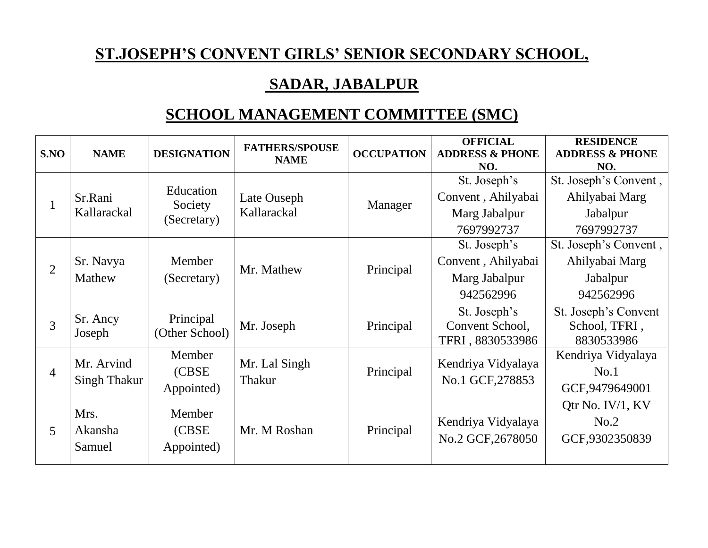## **ST.JOSEPH'S CONVENT GIRLS' SENIOR SECONDARY SCHOOL,**

## **SADAR, JABALPUR**

## **SCHOOL MANAGEMENT COMMITTEE (SMC)**

| S.NO           | <b>NAME</b>                | <b>DESIGNATION</b>                  | <b>FATHERS/SPOUSE</b><br><b>NAME</b> | <b>OCCUPATION</b> | <b>OFFICIAL</b><br><b>ADDRESS &amp; PHONE</b><br>NO.              | <b>RESIDENCE</b><br><b>ADDRESS &amp; PHONE</b><br>NO.             |
|----------------|----------------------------|-------------------------------------|--------------------------------------|-------------------|-------------------------------------------------------------------|-------------------------------------------------------------------|
|                | Sr.Rani<br>Kallarackal     | Education<br>Society<br>(Secretary) | Late Ouseph<br>Kallarackal           | Manager           | St. Joseph's<br>Convent, Ahilyabai<br>Marg Jabalpur<br>7697992737 | St. Joseph's Convent,<br>Ahilyabai Marg<br>Jabalpur<br>7697992737 |
| $\overline{2}$ | Sr. Navya<br>Mathew        | Member<br>(Secretary)               | Mr. Mathew                           | Principal         | St. Joseph's<br>Convent, Ahilyabai<br>Marg Jabalpur<br>942562996  | St. Joseph's Convent,<br>Ahilyabai Marg<br>Jabalpur<br>942562996  |
| 3              | Sr. Ancy<br>Joseph         | Principal<br>(Other School)         | Mr. Joseph                           | Principal         | St. Joseph's<br>Convent School,<br>TFRI, 8830533986               | St. Joseph's Convent<br>School, TFRI,<br>8830533986               |
| $\overline{4}$ | Mr. Arvind<br>Singh Thakur | Member<br>(CBSE<br>Appointed)       | Mr. Lal Singh<br>Thakur              | Principal         | Kendriya Vidyalaya<br>No.1 GCF, 278853                            | Kendriya Vidyalaya<br>No.1<br>GCF, 9479649001                     |
| 5              | Mrs.<br>Akansha<br>Samuel  | Member<br>(CBSE)<br>Appointed)      | Mr. M Roshan                         | Principal         | Kendriya Vidyalaya<br>No.2 GCF, 2678050                           | Qtr No. IV/1, KV<br>No.2<br>GCF,9302350839                        |